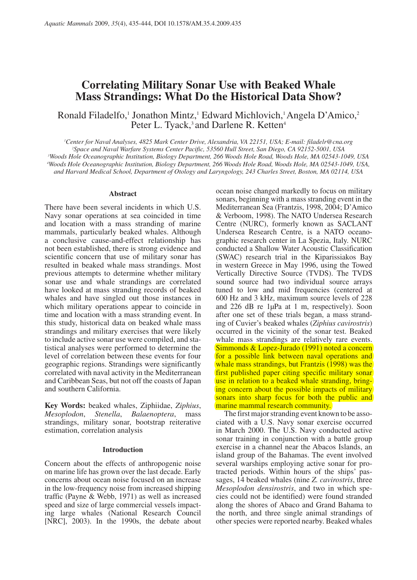# **Correlating Military Sonar Use with Beaked Whale Mass Strandings: What Do the Historical Data Show?**

Ronald Filadelfo,<sup>1</sup> Jonathon Mintz,<sup>1</sup> Edward Michlovich,<sup>1</sup> Angela D'Amico,<sup>2</sup> Peter L. Tyack,<sup>3</sup> and Darlene R. Ketten<sup>4</sup>

'Center for Naval Analyses, 4825 Mark Center Drive, Alexandria, VA 22151, USA; E-mail: filadelr@cna.org <sup>2</sup>Space and Naval Warfare Systems Center Pacific, 53560 Hull Street, San Diego, CA 92152-5001, USA <sup>3</sup>Woods Hole Oceanographic Institution, Biology Department, 266 Woods Hole Road, Woods Hole, MA 02543-1049, USA 4Woods Hole Oceanographic Institution, Biology Department, 266 Woods Hole Road, Woods Hole, MA 02543-1049, USA, and Harvard Medical School, Department of Otology and Laryngology, 243 Charles Street, Boston, MA 02114, USA

### **Abstract**

There have been several incidents in which U.S. Navy sonar operations at sea coincided in time and location with a mass stranding of marine mammals, particularly beaked whales. Although a conclusive cause-and-effect relationship has not been established, there is strong evidence and scientific concern that use of military sonar has resulted in beaked whale mass strandings. Most previous attempts to determine whether military sonar use and whale strandings are correlated have looked at mass stranding records of beaked whales and have singled out those instances in which military operations appear to coincide in time and location with a mass stranding event. In this study, historical data on beaked whale mass strandings and military exercises that were likely to include active sonar use were compiled, and statistical analyses were performed to determine the level of correlation between these events for four geographic regions. Strandings were significantly correlated with naval activity in the Mediterranean and Caribbean Seas, but not off the coasts of Japan and southern California.

Key Words: beaked whales, Ziphiidae, Ziphius, Mesoplodon, Stenella, Balaenoptera, mass strandings, military sonar, bootstrap reiterative estimation, correlation analysis

#### **Introduction**

Concern about the effects of anthropogenic noise on marine life has grown over the last decade. Early concerns about ocean noise focused on an increase in the low-frequency noise from increased shipping traffic (Payne & Webb, 1971) as well as increased speed and size of large commercial vessels impacting large whales (National Research Council [NRC], 2003). In the 1990s, the debate about

ocean noise changed markedly to focus on military sonars, beginning with a mass stranding event in the Mediterranean Sea (Frantzis, 1998, 2004; D'Amico & Verboom, 1998). The NATO Undersea Research Centre (NURC), formerly known as SACLANT Undersea Research Centre, is a NATO oceanographic research center in La Spezia, Italy. NURC conducted a Shallow Water Acoustic Classification (SWAC) research trial in the Kiparissiakos Bay in western Greece in May 1996, using the Towed Vertically Directive Source (TVDS). The TVDS sound source had two individual source arrays tuned to low and mid frequencies (centered at 600 Hz and 3 kHz, maximum source levels of 228 and 226 dB re 1µPa at 1 m, respectively). Soon after one set of these trials began, a mass stranding of Cuvier's beaked whales (Ziphius cavirostris) occurred in the vicinity of the sonar test. Beaked whale mass strandings are relatively rare events. Simmonds & Lopez-Jurado (1991) noted a concern for a possible link between naval operations and whale mass strandings, but Frantzis (1998) was the first published paper citing specific military sonar use in relation to a beaked whale stranding, bringing concern about the possible impacts of military sonars into sharp focus for both the public and marine mammal research community.

The first major stranding event known to be associated with a U.S. Navy sonar exercise occurred in March 2000. The U.S. Navy conducted active sonar training in conjunction with a battle group exercise in a channel near the Abacos Islands, an island group of the Bahamas. The event involved several warships employing active sonar for protracted periods. Within hours of the ships' passages, 14 beaked whales (nine Z. cavirostris, three Mesoplodon densirostris, and two in which species could not be identified) were found stranded along the shores of Abaco and Grand Bahama to the north, and three single animal strandings of other species were reported nearby. Beaked whales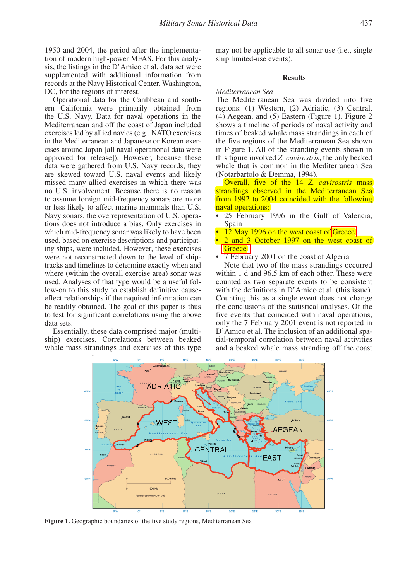1950 and 2004, the period after the implementation of modern high-power MFAS. For this analysis, the listings in the D'Amico et al. data set were supplemented with additional information from records at the Navy Historical Center, Washington, DC, for the regions of interest.

Operational data for the Caribbean and southern California were primarily obtained from the U.S. Navy. Data for naval operations in the Mediterranean and off the coast of Japan included exercises led by allied navies (e.g., NATO exercises in the Mediterranean and Japanese or Korean exercises around Japan [all naval operational data were approved for release]). However, because these data were gathered from U.S. Navy records, they are skewed toward U.S. naval events and likely missed many allied exercises in which there was no U.S. involvement. Because there is no reason to assume foreign mid-frequency sonars are more or less likely to affect marine mammals than U.S. Navy sonars, the overrepresentation of U.S. operations does not introduce a bias. Only exercises in which mid-frequency sonar was likely to have been used, based on exercise descriptions and participating ships, were included. However, these exercises were not reconstructed down to the level of shiptracks and timelines to determine exactly when and where (within the overall exercise area) sonar was used. Analyses of that type would be a useful follow-on to this study to establish definitive causeeffect relationships if the required information can be readily obtained. The goal of this paper is thus to test for significant correlations using the above data sets.

Essentially, these data comprised major (multiship) exercises. Correlations between beaked whale mass strandings and exercises of this type

may not be applicable to all sonar use (i.e., single ship limited-use events).

## **Results**

# Mediterranean Sea

The Mediterranean Sea was divided into five regions: (1) Western, (2) Adriatic, (3) Central,  $(4)$  Aegean, and  $(5)$  Eastern (Figure 1). Figure 2 shows a timeline of periods of naval activity and times of beaked whale mass strandings in each of the five regions of the Mediterranean Sea shown in Figure 1. All of the stranding events shown in this figure involved Z. *cavirostris*, the only beaked whale that is common in the Mediterranean Sea (Notarbartolo & Demma, 1994).

Overall, five of the  $14\,Z$  *cavirostris* mass strandings observed in the Mediterranean Sea from 1992 to 2004 coincided with the following naval operations:

- 25 February 1996 in the Gulf of Valencia, Spain
- $12$  May 1996 on the west coast of Greece
- 2 and 3 October 1997 on the west coast of  $|$  Greece  $|$
- 7 February 2001 on the coast of Algeria

Note that two of the mass strandings occurred within 1 d and 96.5 km of each other. These were counted as two separate events to be consistent with the definitions in D'Amico et al. (this issue). Counting this as a single event does not change the conclusions of the statistical analyses. Of the five events that coincided with naval operations, only the 7 February 2001 event is not reported in D'Amico et al. The inclusion of an additional spatial-temporal correlation between naval activities and a beaked whale mass stranding off the coast



Figure 1. Geographic boundaries of the five study regions, Mediterranean Sea